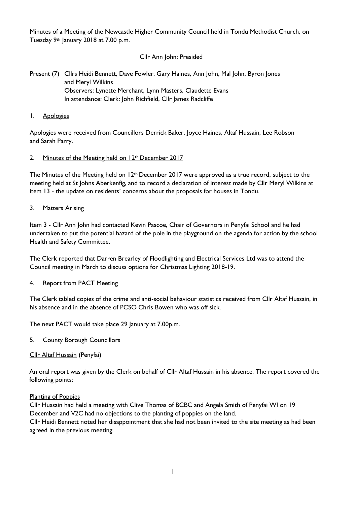Minutes of a Meeting of the Newcastle Higher Community Council held in Tondu Methodist Church, on Tuesday 9th January 2018 at 7.00 p.m.

### Cllr Ann John: Presided

# Present (7) Cllrs Heidi Bennett, Dave Fowler, Gary Haines, Ann John, Mal John, Byron Jones and Meryl Wilkins Observers: Lynette Merchant, Lynn Masters, Claudette Evans In attendance: Clerk: John Richfield, Cllr James Radcliffe

#### 1. Apologies

Apologies were received from Councillors Derrick Baker, Joyce Haines, Altaf Hussain, Lee Robson and Sarah Parry.

### 2. Minutes of the Meeting held on 12th December 2017

The Minutes of the Meeting held on  $12<sup>th</sup>$  December 2017 were approved as a true record, subject to the meeting held at St Johns Aberkenfig, and to record a declaration of interest made by Cllr Meryl Wilkins at item 13 - the update on residents' concerns about the proposals for houses in Tondu.

#### 3. Matters Arising

Item 3 - Cllr Ann John had contacted Kevin Pascoe, Chair of Governors in Penyfai School and he had undertaken to put the potential hazard of the pole in the playground on the agenda for action by the school Health and Safety Committee.

The Clerk reported that Darren Brearley of Floodlighting and Electrical Services Ltd was to attend the Council meeting in March to discuss options for Christmas Lighting 2018-19.

### 4. Report from PACT Meeting

The Clerk tabled copies of the crime and anti-social behaviour statistics received from Cllr Altaf Hussain, in his absence and in the absence of PCSO Chris Bowen who was off sick.

The next PACT would take place 29 January at 7.00p.m.

#### 5. County Borough Councillors

### Cllr Altaf Hussain (Penyfai)

An oral report was given by the Clerk on behalf of Cllr Altaf Hussain in his absence. The report covered the following points:

#### Planting of Poppies

Cllr Hussain had held a meeting with Clive Thomas of BCBC and Angela Smith of Penyfai WI on 19 December and V2C had no objections to the planting of poppies on the land.

Cllr Heidi Bennett noted her disappointment that she had not been invited to the site meeting as had been agreed in the previous meeting.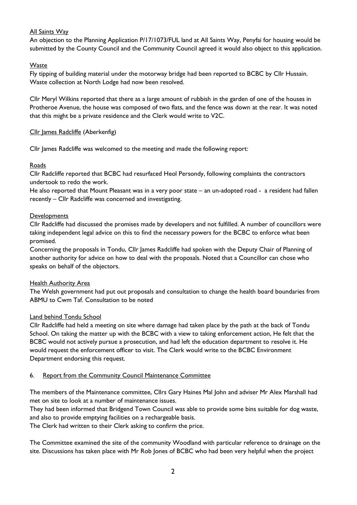# All Saints Way

An objection to the Planning Application P/17/1073/FUL land at All Saints Way, Penyfai for housing would be submitted by the County Council and the Community Council agreed it would also object to this application.

# Waste

Fly tipping of building material under the motorway bridge had been reported to BCBC by Cllr Hussain. Waste collection at North Lodge had now been resolved.

Cllr Meryl Wilkins reported that there as a large amount of rubbish in the garden of one of the houses in Protheroe Avenue, the house was composed of two flats, and the fence was down at the rear. It was noted that this might be a private residence and the Clerk would write to V2C.

### Cllr James Radcliffe (Aberkenfig)

Cllr James Radcliffe was welcomed to the meeting and made the following report:

# Roads

Cllr Radcliffe reported that BCBC had resurfaced Heol Persondy, following complaints the contractors undertook to redo the work.

He also reported that Mount Pleasant was in a very poor state – an un-adopted road - a resident had fallen recently – Cllr Radcliffe was concerned and investigating.

### **Developments**

Cllr Radcliffe had discussed the promises made by developers and not fulfilled. A number of councillors were taking independent legal advice on this to find the necessary powers for the BCBC to enforce what been promised.

Concerning the proposals in Tondu, Cllr James Radcliffe had spoken with the Deputy Chair of Planning of another authority for advice on how to deal with the proposals. Noted that a Councillor can chose who speaks on behalf of the objectors.

### **Health Authority Area**

The Welsh government had put out proposals and consultation to change the health board boundaries from ABMU to Cwm Taf. Consultation to be noted

### Land behind Tondu School

Cllr Radcliffe had held a meeting on site where damage had taken place by the path at the back of Tondu School. On taking the matter up with the BCBC with a view to taking enforcement action, He felt that the BCBC would not actively pursue a prosecution, and had left the education department to resolve it. He would request the enforcement officer to visit. The Clerk would write to the BCBC Environment Department endorsing this request.

### 6. Report from the Community Council Maintenance Committee

The members of the Maintenance committee, Cllrs Gary Haines Mal John and adviser Mr Alex Marshall had met on site to look at a number of maintenance issues.

They had been informed that Bridgend Town Council was able to provide some bins suitable for dog waste, and also to provide emptying facilities on a rechargeable basis.

The Clerk had written to their Clerk asking to confirm the price.

The Committee examined the site of the community Woodland with particular reference to drainage on the site. Discussions has taken place with Mr Rob Jones of BCBC who had been very helpful when the project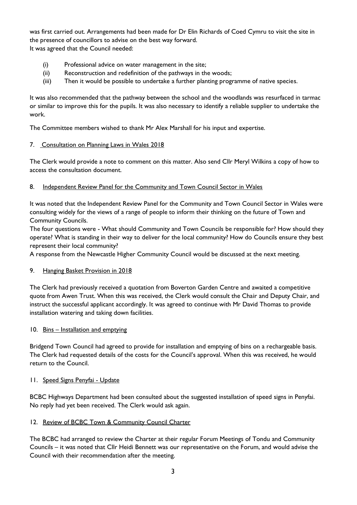was first carried out. Arrangements had been made for Dr Elin Richards of Coed Cymru to visit the site in the presence of councillors to advise on the best way forward. It was agreed that the Council needed:

- (i) Professional advice on water management in the site;
- (ii) Reconstruction and redefinition of the pathways in the woods;
- (iii) Then it would be possible to undertake a further planting programme of native species.

It was also recommended that the pathway between the school and the woodlands was resurfaced in tarmac or similar to improve this for the pupils. It was also necessary to identify a reliable supplier to undertake the work.

The Committee members wished to thank Mr Alex Marshall for his input and expertise.

### 7. Consultation on Planning Laws in Wales 2018

The Clerk would provide a note to comment on this matter. Also send Cllr Meryl Wilkins a copy of how to access the consultation document.

# 8. Independent Review Panel for the Community and Town Council Sector in Wales

It was noted that the Independent Review Panel for the Community and Town Council Sector in Wales were consulting widely for the views of a range of people to inform their thinking on the future of Town and Community Councils.

The four questions were - What should Community and Town Councils be responsible for? How should they operate? What is standing in their way to deliver for the local community? How do Councils ensure they best represent their local community?

A response from the Newcastle Higher Community Council would be discussed at the next meeting.

### 9. Hanging Basket Provision in 2018

The Clerk had previously received a quotation from Boverton Garden Centre and awaited a competitive quote from Awen Trust. When this was received, the Clerk would consult the Chair and Deputy Chair, and instruct the successful applicant accordingly. It was agreed to continue with Mr David Thomas to provide installation watering and taking down facilities.

### 10. Bins – Installation and emptying

Bridgend Town Council had agreed to provide for installation and emptying of bins on a rechargeable basis. The Clerk had requested details of the costs for the Council's approval. When this was received, he would return to the Council.

### 11. Speed Signs Penyfai - Update

BCBC Highways Department had been consulted about the suggested installation of speed signs in Penyfai. No reply had yet been received. The Clerk would ask again.

### 12. Review of BCBC Town & Community Council Charter

The BCBC had arranged to review the Charter at their regular Forum Meetings of Tondu and Community Councils – it was noted that Cllr Heidi Bennett was our representative on the Forum, and would advise the Council with their recommendation after the meeting.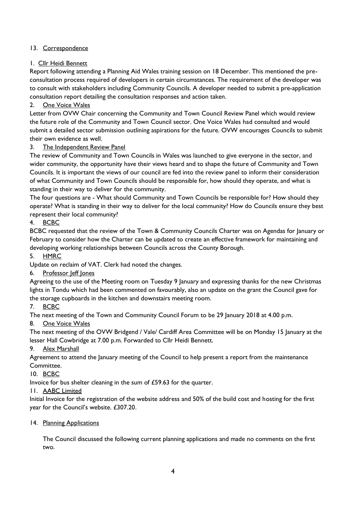# 13. Correspondence

### 1. Cllr Heidi Bennett

Report following attending a Planning Aid Wales training session on 18 December. This mentioned the preconsultation process required of developers in certain circumstances. The requirement of the developer was to consult with stakeholders including Community Councils. A developer needed to submit a pre-application consultation report detailing the consultation responses and action taken.

# 2. One Voice Wales

Letter from OVW Chair concerning the Community and Town Council Review Panel which would review the future role of the Community and Town Council sector. One Voice Wales had consulted and would submit a detailed sector submission outlining aspirations for the future. OVW encourages Councils to submit their own evidence as well.

# 3. The Independent Review Panel

The review of Community and Town Councils in Wales was launched to give everyone in the sector, and wider community, the opportunity have their views heard and to shape the future of Community and Town Councils. It is important the views of our council are fed into the review panel to inform their consideration of what Community and Town Councils should be responsible for, how should they operate, and what is standing in their way to deliver for the community.

The four questions are - What should Community and Town Councils be responsible for? How should they operate? What is standing in their way to deliver for the local community? How do Councils ensure they best represent their local community?

# 4. BCBC

BCBC requested that the review of the Town & Community Councils Charter was on Agendas for January or February to consider how the Charter can be updated to create an effective framework for maintaining and developing working relationships between Councils across the County Borough.

5. HMRC

Update on reclaim of VAT. Clerk had noted the changes.

### 6. Professor Jeff Jones

Agreeing to the use of the Meeting room on Tuesday 9 January and expressing thanks for the new Christmas lights in Tondu which had been commented on favourably, also an update on the grant the Council gave for the storage cupboards in the kitchen and downstairs meeting room.

### 7. BCBC

The next meeting of the Town and Community Council Forum to be 29 January 2018 at 4.00 p.m.

### 8. One Voice Wales

The next meeting of the OVW Bridgend / Vale/ Cardiff Area Committee will be on Monday 15 January at the lesser Hall Cowbridge at 7.00 p.m. Forwarded to Cllr Heidi Bennett.

### 9. Alex Marshall

Agreement to attend the January meeting of the Council to help present a report from the maintenance Committee.

### 10. BCBC

Invoice for bus shelter cleaning in the sum of £59.63 for the quarter.

### 11. AABC Limited

Initial Invoice for the registration of the website address and 50% of the build cost and hosting for the first year for the Council's website. £307.20.

### 14. Planning Applications

The Council discussed the following current planning applications and made no comments on the first two.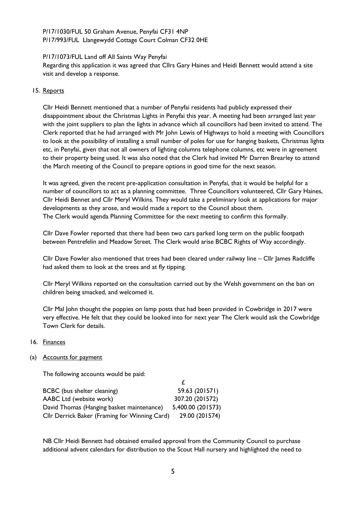### P/17/1030/FUL 50 Graham Avenue, Penyfai CF31 4NP P/17/993/FUL Llangewydd Cottage Court Colman CF32 0HE

#### P/17/1073/FUL Land off All Saints Way Penyfai

Regarding this application it was agreed that Cllrs Gary Haines and Heidi Bennett would attend a site visit and develop a response.

#### 15. Reports

Cllr Heidi Bennett mentioned that a number of Penyfai residents had publicly expressed their disappointment about the Christmas Lights in Penyfai this year. A meeting had been arranged last year with the joint suppliers to plan the lights in advance which all councillors had been invited to attend. The Clerk reported that he had arranged with Mr John Lewis of Highways to hold a meeting with Councillors to look at the possibility of installing a small number of poles for use for hanging baskets, Christmas lights etc, in Penyfai, given that not all owners of lighting columns telephone columns, etc were in agreement to their property being used. It was also noted that the Clerk had invited Mr Darren Brearley to attend the March meeting of the Council to prepare options in good time for the next season.

It was agreed, given the recent pre-application consultation in Penyfai, that it would be helpful for a number of councillors to act as a planning committee. Three Councillors volunteered, Cllr Gary Haines, Cllr Heidi Bennet and Cllr Meryl Wilkins. They would take a preliminary look at applications for major developments as they arose, and would made a report to the Council about them. The Clerk would agenda Planning Committee for the next meeting to confirm this formally.

Cllr Dave Fowler reported that there had been two cars parked long term on the public footpath between Pentrefelin and Meadow Street. The Clerk would arise BCBC Rights of Way accordingly.

Cllr Dave Fowler also mentioned that trees had been cleared under railway line – Cllr James Radcliffe had asked them to look at the trees and at fly tipping.

Cllr Meryl Wilkins reported on the consultation carried out by the Welsh government on the ban on children being smacked, and welcomed it.

Cllr Mal John thought the poppies on lamp posts that had been provided in Cowbridge in 2017 were very effective. He felt that they could be looked into for next year The Clerk would ask the Cowbridge Town Clerk for details.

16. Finances

### (a) Accounts for payment

The following accounts would be paid:

| <b>BCBC</b> (bus shelter cleaning)            | 59.63 (201571)    |
|-----------------------------------------------|-------------------|
| AABC Ltd (website work)                       | 307.20 (201572)   |
| David Thomas (Hanging basket maintenance)     | 5,400.00 (201573) |
| Cllr Derrick Baker (Framing for Winning Card) | 29.00 (201574)    |

NB Cllr Heidi Bennett had obtained emailed approval from the Community Council to purchase additional advent calendars for distribution to the Scout Hall nursery and highlighted the need to